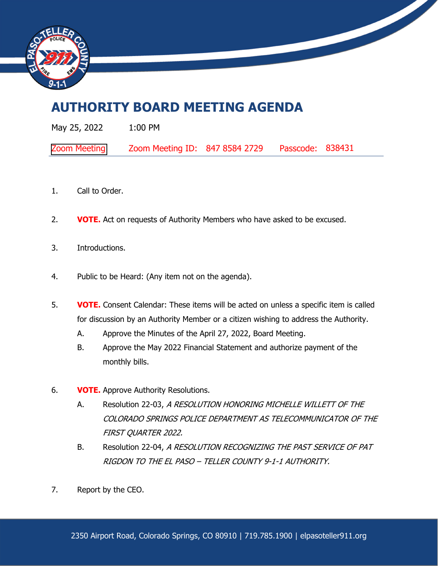

## **AUTHORITY BOARD MEETING AGENDA**

| May 25, 2022        | $1:00$ PM                      |                  |  |
|---------------------|--------------------------------|------------------|--|
| <b>Zoom Meeting</b> | Zoom Meeting ID: 847 8584 2729 | Passcode: 838431 |  |

- 1. Call to Order.
- 2. **VOTE.** Act on requests of Authority Members who have asked to be excused.
- 3. Introductions.
- 4. Public to be Heard: (Any item not on the agenda).
- 5. **VOTE.** Consent Calendar: These items will be acted on unless a specific item is called for discussion by an Authority Member or a citizen wishing to address the Authority.
	- A. Approve the Minutes of the April 27, 2022, Board Meeting.
	- B. Approve the May 2022 Financial Statement and authorize payment of the monthly bills.
- 6. **VOTE.** Approve Authority Resolutions.
	- A. Resolution 22-03, A RESOLUTION HONORING MICHELLE WILLETT OF THE COLORADO SPRINGS POLICE DEPARTMENT AS TELECOMMUNICATOR OF THE FIRST QUARTER 2022.
	- B. Resolution 22-04, A RESOLUTION RECOGNIZING THE PAST SERVICE OF PAT RIGDON TO THE EL PASO – TELLER COUNTY 9-1-1 AUTHORITY.
- 7. Report by the CEO.